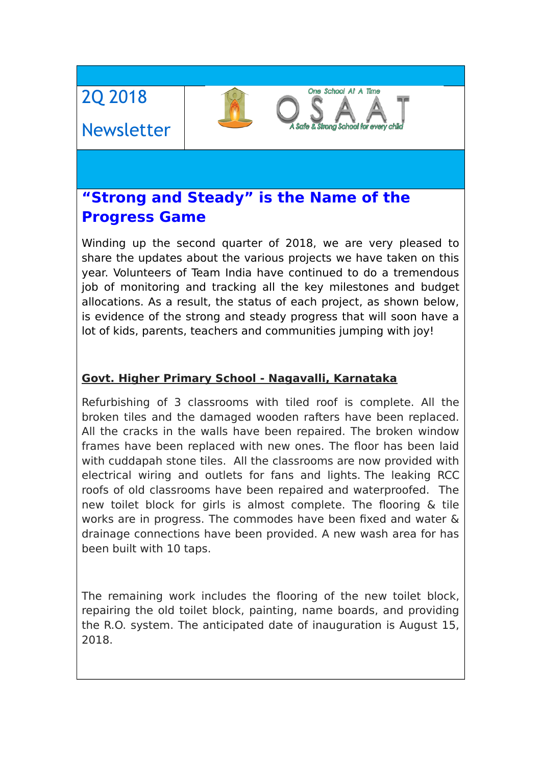# 2Q 2018

# Newsletter

# **"Strong and Steady" is the Name of the Progress Game**

Winding up the second quarter of 2018, we are very pleased to share the updates about the various projects we have taken on this year. Volunteers of Team India have continued to do a tremendous job of monitoring and tracking all the key milestones and budget allocations. As a result, the status of each project, as shown below, is evidence of the strong and steady progress that will soon have a lot of kids, parents, teachers and communities jumping with joy!

One School At A Time

**Strong School for eve** 

#### **Govt. Higher Primary School - Nagavalli, Karnataka**

Refurbishing of 3 classrooms with tiled roof is complete. All the broken tiles and the damaged wooden rafters have been replaced. All the cracks in the walls have been repaired. The broken window frames have been replaced with new ones. The floor has been laid with cuddapah stone tiles. All the classrooms are now provided with electrical wiring and outlets for fans and lights. The leaking RCC roofs of old classrooms have been repaired and waterproofed. The new toilet block for girls is almost complete. The flooring & tile works are in progress. The commodes have been fixed and water & drainage connections have been provided. A new wash area for has been built with 10 taps.

The remaining work includes the flooring of the new toilet block, repairing the old toilet block, painting, name boards, and providing the R.O. system. The anticipated date of inauguration is August 15, 2018.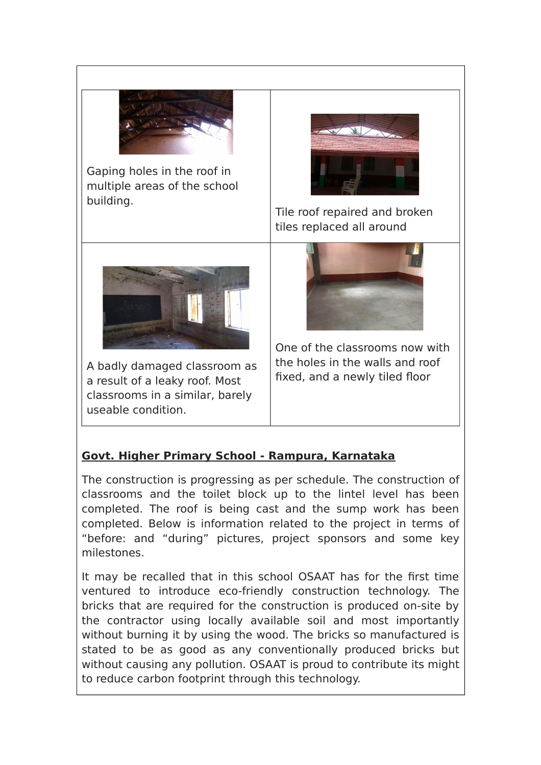

Gaping holes in the roof in multiple areas of the school building.



Tile roof repaired and broken tiles replaced all around



A badly damaged classroom as a result of a leaky roof. Most classrooms in a similar, barely useable condition.

One of the classrooms now with the holes in the walls and roof fixed, and a newly tiled floor

#### **Govt. Higher Primary School - Rampura, Karnataka**

The construction is progressing as per schedule. The construction of classrooms and the toilet block up to the lintel level has been completed. The roof is being cast and the sump work has been completed. Below is information related to the project in terms of "before: and "during" pictures, project sponsors and some key milestones.

It may be recalled that in this school OSAAT has for the first time ventured to introduce eco-friendly construction technology. The bricks that are required for the construction is produced on-site by the contractor using locally available soil and most importantly without burning it by using the wood. The bricks so manufactured is stated to be as good as any conventionally produced bricks but without causing any pollution. OSAAT is proud to contribute its might to reduce carbon footprint through this technology.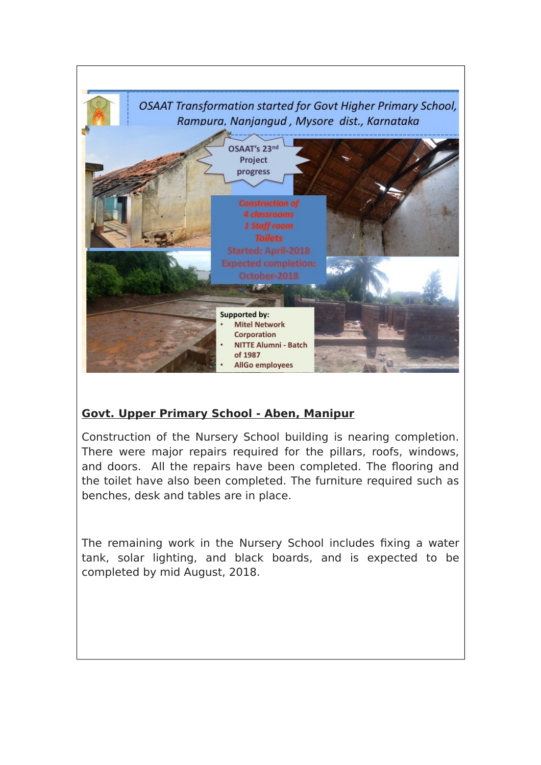

#### **Govt. Upper Primary School - Aben, Manipur**

Construction of the Nursery School building is nearing completion. There were major repairs required for the pillars, roofs, windows, and doors. All the repairs have been completed. The flooring and the toilet have also been completed. The furniture required such as benches, desk and tables are in place.

The remaining work in the Nursery School includes fixing a water tank, solar lighting, and black boards, and is expected to be completed by mid August, 2018.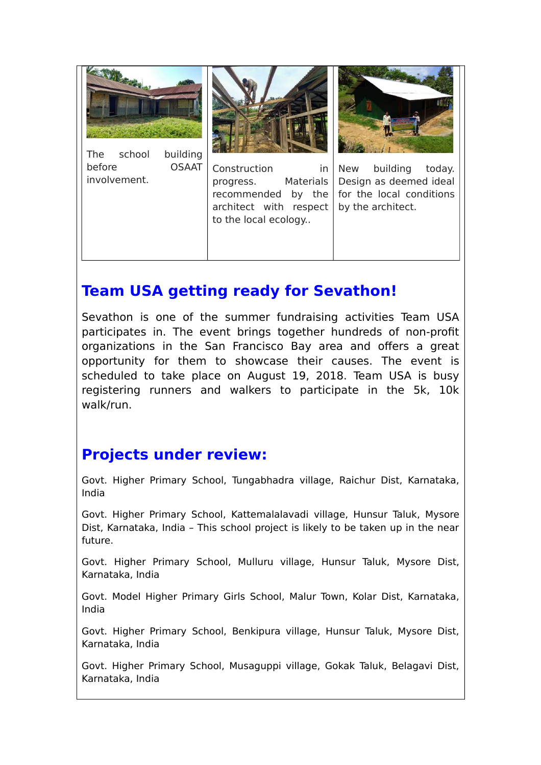

## **Team USA getting ready for Sevathon!**

Sevathon is one of the summer fundraising activities Team USA participates in. The event brings together hundreds of non-profit organizations in the San Francisco Bay area and offers a great opportunity for them to showcase their causes. The event is scheduled to take place on August 19, 2018. Team USA is busy registering runners and walkers to participate in the 5k, 10k walk/run.

## **Projects under review:**

Govt. Higher Primary School, Tungabhadra village, Raichur Dist, Karnataka, India

Govt. Higher Primary School, Kattemalalavadi village, Hunsur Taluk, Mysore Dist, Karnataka, India – This school project is likely to be taken up in the near future.

Govt. Higher Primary School, Mulluru village, Hunsur Taluk, Mysore Dist, Karnataka, India

Govt. Model Higher Primary Girls School, Malur Town, Kolar Dist, Karnataka, India

Govt. Higher Primary School, Benkipura village, Hunsur Taluk, Mysore Dist, Karnataka, India

Govt. Higher Primary School, Musaguppi village, Gokak Taluk, Belagavi Dist, Karnataka, India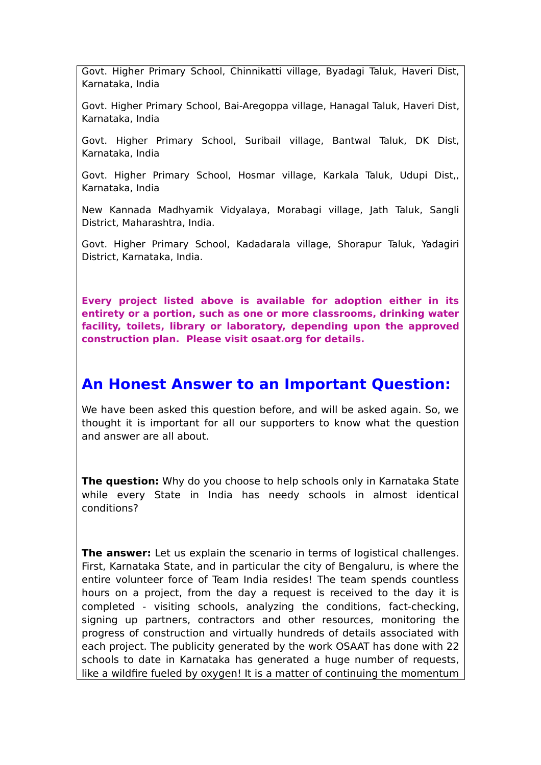Govt. Higher Primary School, Chinnikatti village, Byadagi Taluk, Haveri Dist, Karnataka, India

Govt. Higher Primary School, Bai-Aregoppa village, Hanagal Taluk, Haveri Dist, Karnataka, India

Govt. Higher Primary School, Suribail village, Bantwal Taluk, DK Dist, Karnataka, India

Govt. Higher Primary School, Hosmar village, Karkala Taluk, Udupi Dist,, Karnataka, India

New Kannada Madhyamik Vidyalaya, Morabagi village, Jath Taluk, Sangli District, Maharashtra, India.

Govt. Higher Primary School, Kadadarala village, Shorapur Taluk, Yadagiri District, Karnataka, India.

**Every project listed above is available for adoption either in its entirety or a portion, such as one or more classrooms, drinking water facility, toilets, library or laboratory, depending upon the approved construction plan. Please visit osaat.org for details.**

#### **An Honest Answer to an Important Question:**

We have been asked this question before, and will be asked again. So, we thought it is important for all our supporters to know what the question and answer are all about.

**The question:** Why do you choose to help schools only in Karnataka State while every State in India has needy schools in almost identical conditions?

**The answer:** Let us explain the scenario in terms of logistical challenges. First, Karnataka State, and in particular the city of Bengaluru, is where the entire volunteer force of Team India resides! The team spends countless hours on a project, from the day a request is received to the day it is completed - visiting schools, analyzing the conditions, fact-checking, signing up partners, contractors and other resources, monitoring the progress of construction and virtually hundreds of details associated with each project. The publicity generated by the work OSAAT has done with 22 schools to date in Karnataka has generated a huge number of requests, like a wildfire fueled by oxygen! It is a matter of continuing the momentum